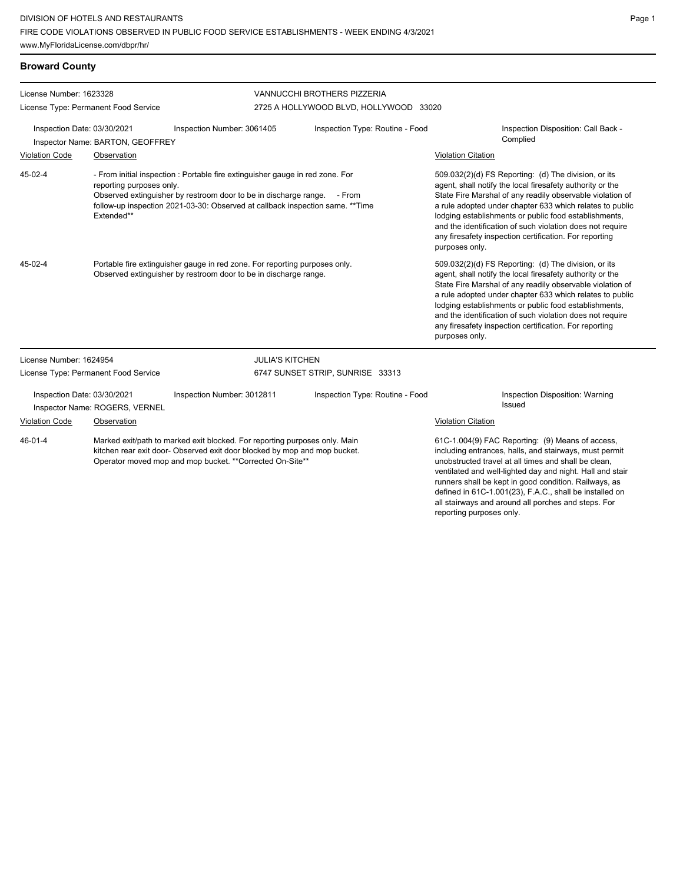**Broward County**

| License Number: 1623328<br>License Type: Permanent Food Service                                                                                                                                                                                                                                 |                                      |                            | VANNUCCHI BROTHERS PIZZERIA<br>2725 A HOLLYWOOD BLVD, HOLLYWOOD 33020                                                                                                                                                                                                                                                                                                                                                                        |                                                                                                                                                                                                                                                                                                                                                                                                                                              |  |
|-------------------------------------------------------------------------------------------------------------------------------------------------------------------------------------------------------------------------------------------------------------------------------------------------|--------------------------------------|----------------------------|----------------------------------------------------------------------------------------------------------------------------------------------------------------------------------------------------------------------------------------------------------------------------------------------------------------------------------------------------------------------------------------------------------------------------------------------|----------------------------------------------------------------------------------------------------------------------------------------------------------------------------------------------------------------------------------------------------------------------------------------------------------------------------------------------------------------------------------------------------------------------------------------------|--|
| Inspection Date: 03/30/2021<br>Inspector Name: BARTON, GEOFFREY                                                                                                                                                                                                                                 |                                      | Inspection Number: 3061405 | Inspection Type: Routine - Food                                                                                                                                                                                                                                                                                                                                                                                                              | Inspection Disposition: Call Back -<br>Complied                                                                                                                                                                                                                                                                                                                                                                                              |  |
| <b>Violation Code</b>                                                                                                                                                                                                                                                                           | Observation                          |                            |                                                                                                                                                                                                                                                                                                                                                                                                                                              | <b>Violation Citation</b>                                                                                                                                                                                                                                                                                                                                                                                                                    |  |
| 45-02-4<br>- From initial inspection : Portable fire extinguisher gauge in red zone. For<br>reporting purposes only.<br>Observed extinguisher by restroom door to be in discharge range. - From<br>follow-up inspection 2021-03-30: Observed at callback inspection same. ** Time<br>Extended** |                                      |                            |                                                                                                                                                                                                                                                                                                                                                                                                                                              | 509.032(2)(d) FS Reporting: (d) The division, or its<br>agent, shall notify the local firesafety authority or the<br>State Fire Marshal of any readily observable violation of<br>a rule adopted under chapter 633 which relates to public<br>lodging establishments or public food establishments,<br>and the identification of such violation does not require<br>any firesafety inspection certification. For reporting<br>purposes only. |  |
| 45-02-4<br>Portable fire extinguisher gauge in red zone. For reporting purposes only.<br>Observed extinguisher by restroom door to be in discharge range.                                                                                                                                       |                                      |                            | 509.032(2)(d) FS Reporting: (d) The division, or its<br>agent, shall notify the local firesafety authority or the<br>State Fire Marshal of any readily observable violation of<br>a rule adopted under chapter 633 which relates to public<br>lodging establishments or public food establishments,<br>and the identification of such violation does not require<br>any firesafety inspection certification. For reporting<br>purposes only. |                                                                                                                                                                                                                                                                                                                                                                                                                                              |  |
| License Number: 1624954                                                                                                                                                                                                                                                                         |                                      |                            | <b>JULIA'S KITCHEN</b>                                                                                                                                                                                                                                                                                                                                                                                                                       |                                                                                                                                                                                                                                                                                                                                                                                                                                              |  |
|                                                                                                                                                                                                                                                                                                 | License Type: Permanent Food Service |                            | 6747 SUNSET STRIP, SUNRISE 33313                                                                                                                                                                                                                                                                                                                                                                                                             |                                                                                                                                                                                                                                                                                                                                                                                                                                              |  |
| Inspection Date: 03/30/2021<br>Inspector Name: ROGERS, VERNEL                                                                                                                                                                                                                                   |                                      | Inspection Number: 3012811 | Inspection Type: Routine - Food                                                                                                                                                                                                                                                                                                                                                                                                              | Inspection Disposition: Warning<br>Issued                                                                                                                                                                                                                                                                                                                                                                                                    |  |
| <b>Violation Code</b><br>Observation                                                                                                                                                                                                                                                            |                                      |                            |                                                                                                                                                                                                                                                                                                                                                                                                                                              | <b>Violation Citation</b>                                                                                                                                                                                                                                                                                                                                                                                                                    |  |
| $46 - 01 - 4$<br>Marked exit/path to marked exit blocked. For reporting purposes only. Main<br>kitchen rear exit door- Observed exit door blocked by mop and mop bucket.<br>Operator moved mop and mop bucket. **Corrected On-Site**                                                            |                                      |                            |                                                                                                                                                                                                                                                                                                                                                                                                                                              | 61C-1.004(9) FAC Reporting: (9) Means of access,<br>including entrances, halls, and stairways, must permit<br>unobstructed travel at all times and shall be clean,<br>ventilated and well-lighted day and night. Hall and stair<br>runners shall be kept in good condition. Railways, as<br>defined in 61C-1.001(23), F.A.C., shall be installed on<br>all stairways and around all porches and steps. For                                   |  |

reporting purposes only.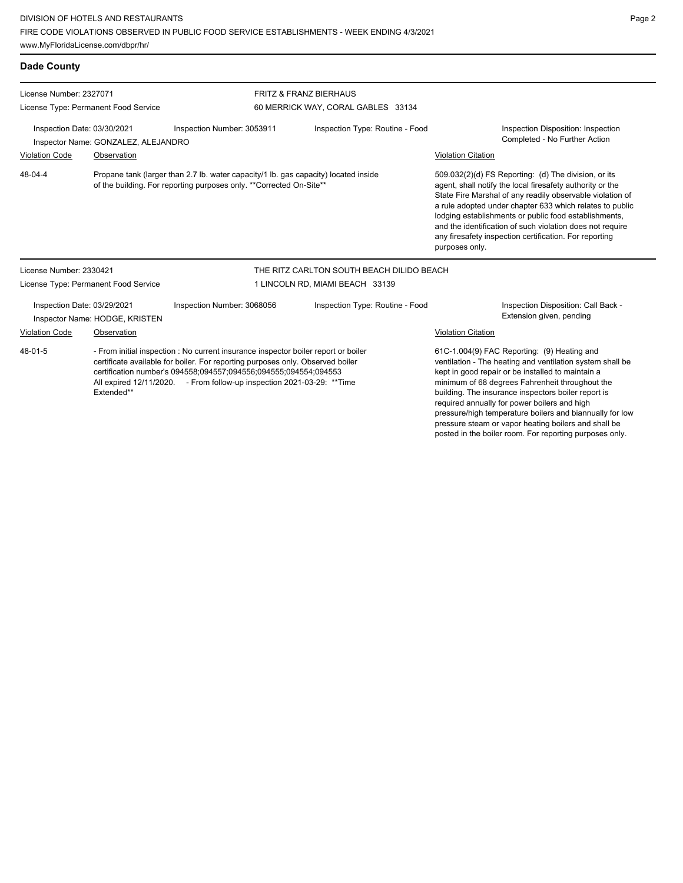**Dade County** License Number: 2327071 License Type: Permanent Food Service FRITZ & FRANZ BIERHAUS 60 MERRICK WAY, CORAL GABLES 33134 Inspection Date: 03/30/2021 Inspection Number: 3053911 Inspection Type: Routine - Food Inspection Disposition: Inspection Completed - No Further Action Inspector Name: GONZALEZ, ALEJANDRO Violation Code Observation Violation Citation Propane tank (larger than 2.7 lb. water capacity/1 lb. gas capacity) located inside of the building. For reporting purposes only. \*\*Corrected On-Site\*\* 509.032(2)(d) FS Reporting: (d) The division, or its agent, shall notify the local firesafety authority or the State Fire Marshal of any readily observable violation of a rule adopted under chapter 633 which relates to public lodging establishments or public food establishments, and the identification of such violation does not require any firesafety inspection certification. For reporting purposes only. 48-04-4 License Number: 2330421 License Type: Permanent Food Service THE RITZ CARLTON SOUTH BEACH DILIDO BEACH 1 LINCOLN RD, MIAMI BEACH 33139 Inspection Date: 03/29/2021 Inspection Number: 3068056 Inspection Type: Routine - Food Inspection Disposition: Call Back - Inspector Name: HODGE, KRISTEN **Inspector Name: HODGE, KRISTEN** Violation Code Observation Violation Citation - From initial inspection : No current insurance inspector boiler report or boiler certificate available for boiler. For reporting purposes only. Observed boiler certification number's 094558;094557;094556;094555;094554;094553 All expired 12/11/2020. - From follow-up inspection 2021-03-29: \*\*Time Extended\*\* 61C-1.004(9) FAC Reporting: (9) Heating and ventilation - The heating and ventilation system shall be kept in good repair or be installed to maintain a minimum of 68 degrees Fahrenheit throughout the building. The insurance inspectors boiler report is 48-01-5

required annually for power boilers and high

pressure/high temperature boilers and biannually for low pressure steam or vapor heating boilers and shall be posted in the boiler room. For reporting purposes only.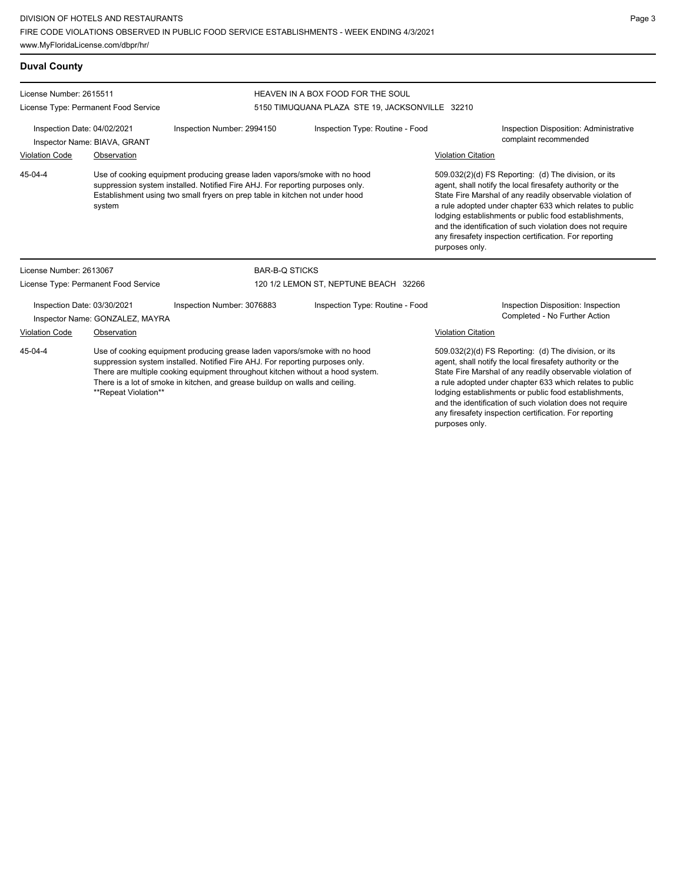www.MyFloridaLicense.com/dbpr/hr/

**Duval County**

License Number: 2615511

purposes only.

Page 3

| License Type: Permanent Food Service                                                                                                                                                                                                                            |                                      |                                                                                                                                                                                                                                                                                                                              | 5150 TIMUQUANA PLAZA STE 19, JACKSONVILLE 32210 |                                                                                                                                                                                                                                                                                                                                                                                                                                              |
|-----------------------------------------------------------------------------------------------------------------------------------------------------------------------------------------------------------------------------------------------------------------|--------------------------------------|------------------------------------------------------------------------------------------------------------------------------------------------------------------------------------------------------------------------------------------------------------------------------------------------------------------------------|-------------------------------------------------|----------------------------------------------------------------------------------------------------------------------------------------------------------------------------------------------------------------------------------------------------------------------------------------------------------------------------------------------------------------------------------------------------------------------------------------------|
| Inspection Date: 04/02/2021<br>Inspector Name: BIAVA, GRANT                                                                                                                                                                                                     |                                      | Inspection Number: 2994150                                                                                                                                                                                                                                                                                                   | Inspection Type: Routine - Food                 | Inspection Disposition: Administrative<br>complaint recommended                                                                                                                                                                                                                                                                                                                                                                              |
| <b>Violation Code</b>                                                                                                                                                                                                                                           | Observation                          |                                                                                                                                                                                                                                                                                                                              |                                                 | <b>Violation Citation</b>                                                                                                                                                                                                                                                                                                                                                                                                                    |
| Use of cooking equipment producing grease laden vapors/smoke with no hood<br>45-04-4<br>suppression system installed. Notified Fire AHJ. For reporting purposes only.<br>Establishment using two small fryers on prep table in kitchen not under hood<br>system |                                      |                                                                                                                                                                                                                                                                                                                              |                                                 | 509.032(2)(d) FS Reporting: (d) The division, or its<br>agent, shall notify the local firesafety authority or the<br>State Fire Marshal of any readily observable violation of<br>a rule adopted under chapter 633 which relates to public<br>lodging establishments or public food establishments,<br>and the identification of such violation does not require<br>any firesafety inspection certification. For reporting<br>purposes only. |
| License Number: 2613067                                                                                                                                                                                                                                         |                                      | <b>BAR-B-Q STICKS</b>                                                                                                                                                                                                                                                                                                        |                                                 |                                                                                                                                                                                                                                                                                                                                                                                                                                              |
|                                                                                                                                                                                                                                                                 | License Type: Permanent Food Service | 120 1/2 LEMON ST, NEPTUNE BEACH 32266                                                                                                                                                                                                                                                                                        |                                                 |                                                                                                                                                                                                                                                                                                                                                                                                                                              |
| Inspection Date: 03/30/2021<br>Inspector Name: GONZALEZ, MAYRA                                                                                                                                                                                                  |                                      | Inspection Type: Routine - Food<br>Inspection Number: 3076883                                                                                                                                                                                                                                                                |                                                 | Inspection Disposition: Inspection<br>Completed - No Further Action                                                                                                                                                                                                                                                                                                                                                                          |
| <b>Violation Code</b><br>Observation                                                                                                                                                                                                                            |                                      |                                                                                                                                                                                                                                                                                                                              |                                                 | <b>Violation Citation</b>                                                                                                                                                                                                                                                                                                                                                                                                                    |
| 45-04-4<br>**Repeat Violation**                                                                                                                                                                                                                                 |                                      | Use of cooking equipment producing grease laden vapors/smoke with no hood<br>suppression system installed. Notified Fire AHJ. For reporting purposes only.<br>There are multiple cooking equipment throughout kitchen without a hood system.<br>There is a lot of smoke in kitchen, and grease buildup on walls and ceiling. |                                                 | 509.032(2)(d) FS Reporting: (d) The division, or its<br>agent, shall notify the local firesafety authority or the<br>State Fire Marshal of any readily observable violation of<br>a rule adopted under chapter 633 which relates to public<br>lodging establishments or public food establishments,<br>and the identification of such violation does not require<br>any firesafety inspection certification. For reporting                   |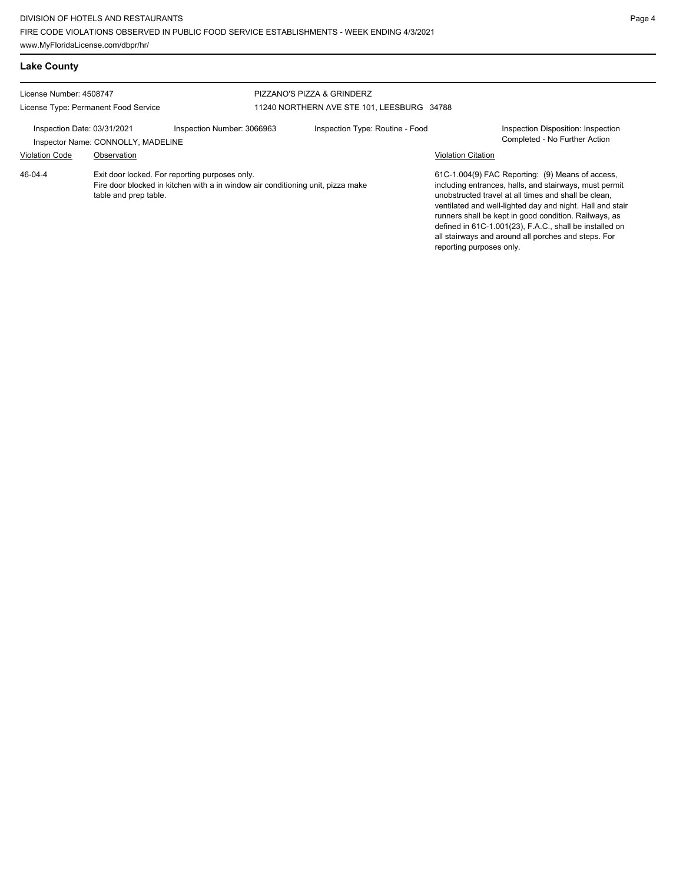| <b>Lake County</b>                                                                                                                                                    |             |                            |                                                                               |                           |                                                                                                                                                                                                                                                                                                                                                                                                            |  |  |
|-----------------------------------------------------------------------------------------------------------------------------------------------------------------------|-------------|----------------------------|-------------------------------------------------------------------------------|---------------------------|------------------------------------------------------------------------------------------------------------------------------------------------------------------------------------------------------------------------------------------------------------------------------------------------------------------------------------------------------------------------------------------------------------|--|--|
| License Number: 4508747                                                                                                                                               |             |                            | PIZZANO'S PIZZA & GRINDERZ                                                    |                           |                                                                                                                                                                                                                                                                                                                                                                                                            |  |  |
| License Type: Permanent Food Service<br>Inspection Date: 03/31/2021<br>Inspector Name: CONNOLLY, MADELINE                                                             |             | Inspection Number: 3066963 | 11240 NORTHERN AVE STE 101, LEESBURG 34788<br>Inspection Type: Routine - Food |                           | Inspection Disposition: Inspection<br>Completed - No Further Action                                                                                                                                                                                                                                                                                                                                        |  |  |
| <b>Violation Code</b>                                                                                                                                                 | Observation |                            |                                                                               | <b>Violation Citation</b> |                                                                                                                                                                                                                                                                                                                                                                                                            |  |  |
| 46-04-4<br>Exit door locked. For reporting purposes only.<br>Fire door blocked in kitchen with a in window air conditioning unit, pizza make<br>table and prep table. |             |                            |                                                                               | reporting purposes only.  | 61C-1.004(9) FAC Reporting: (9) Means of access,<br>including entrances, halls, and stairways, must permit<br>unobstructed travel at all times and shall be clean,<br>ventilated and well-lighted day and night. Hall and stair<br>runners shall be kept in good condition. Railways, as<br>defined in 61C-1.001(23), F.A.C., shall be installed on<br>all stairways and around all porches and steps. For |  |  |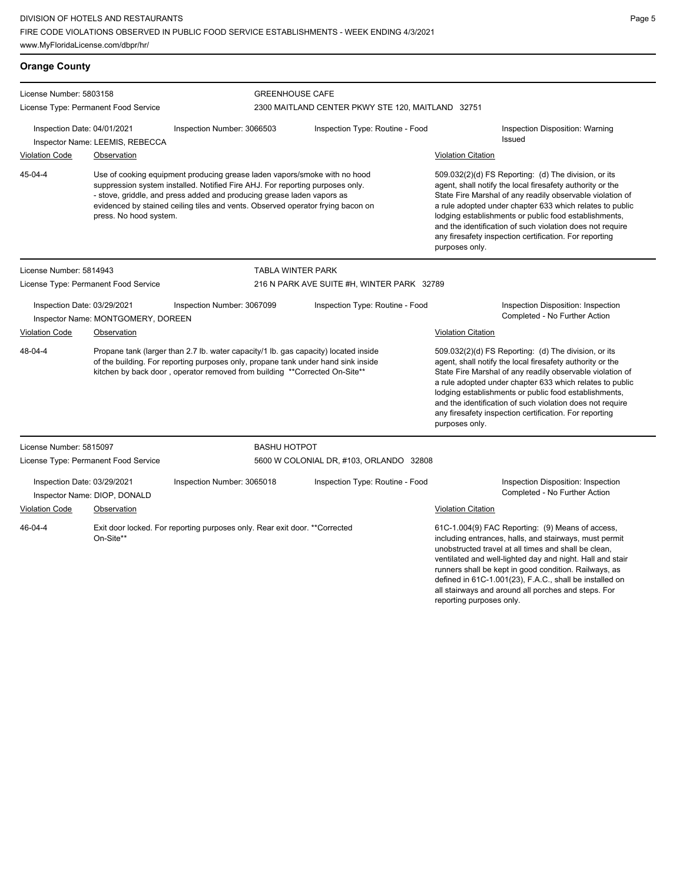**Orange County** License Number: 5803158 License Type: Permanent Food Service GREENHOUSE CAFE 2300 MAITLAND CENTER PKWY STE 120, MAITLAND 32751 Inspection Date: 04/01/2021 Inspection Number: 3066503 Inspection Type: Routine - Food Inspection Disposition: Warning Issued Inspector Name: LEEMIS, REBECCA **Violation Code Observation Construction** Construction Construction Citation Citation Citation Citation Citation Use of cooking equipment producing grease laden vapors/smoke with no hood suppression system installed. Notified Fire AHJ. For reporting purposes only. - stove, griddle, and press added and producing grease laden vapors as evidenced by stained ceiling tiles and vents. Observed operator frying bacon on press. No hood system. 509.032(2)(d) FS Reporting: (d) The division, or its agent, shall notify the local firesafety authority or the State Fire Marshal of any readily observable violation of a rule adopted under chapter 633 which relates to public lodging establishments or public food establishments, and the identification of such violation does not require any firesafety inspection certification. For reporting purposes only. 45-04-4 License Number: 5814943 License Type: Permanent Food Service TABLA WINTER PARK 216 N PARK AVE SUITE #H, WINTER PARK 32789 Inspection Date: 03/29/2021 Inspection Number: 3067099 Inspection Type: Routine - Food Inspection Disposition: Inspection Inspector Name: MONTGOMERY, DOREEN COMPLETED ACTION COMPLETED COMPleted - No Further Action Violation Code Observation Violation Citation Propane tank (larger than 2.7 lb. water capacity/1 lb. gas capacity) located inside of the building. For reporting purposes only, propane tank under hand sink inside kitchen by back door, operator removed from building \*\*Corrected On-Site\*\* 509.032(2)(d) FS Reporting: (d) The division, or its agent, shall notify the local firesafety authority or the State Fire Marshal of any readily observable violation of a rule adopted under chapter 633 which relates to public lodging establishments or public food establishments, and the identification of such violation does not require any firesafety inspection certification. For reporting purposes only. 48-04-4 License Number: 5815097 License Type: Permanent Food Service BASHU HOTPOT 5600 W COLONIAL DR, #103, ORLANDO 32808 Inspection Date: 03/29/2021 Inspection Number: 3065018 Inspection Type: Routine - Food Inspection Disposition: Inspection Inspector Name: DIOP, DONALD Completed - No Further Action Violation Code Observation Violation Citation Exit door locked. For reporting purposes only. Rear exit door. \*\*Corrected On-Site\*\* 61C-1.004(9) FAC Reporting: (9) Means of access, including entrances, halls, and stairways, must permit unobstructed travel at all times and shall be clean, ventilated and well-lighted day and night. Hall and stair runners shall be kept in good condition. Railways, as 46-04-4

defined in 61C-1.001(23), F.A.C., shall be installed on all stairways and around all porches and steps. For

reporting purposes only.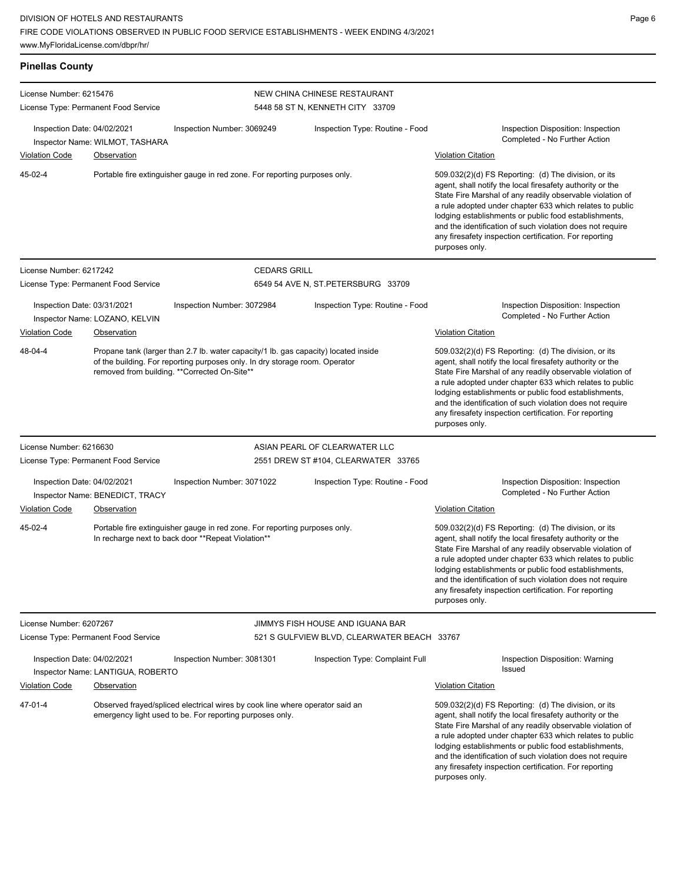| <b>Pinellas County</b>                                                                                                                                                                                                        |                                                       |                                                                                                                                  |                                                                  |                                                                                                                                                                                                                                                                                                                                                                                                                                              |
|-------------------------------------------------------------------------------------------------------------------------------------------------------------------------------------------------------------------------------|-------------------------------------------------------|----------------------------------------------------------------------------------------------------------------------------------|------------------------------------------------------------------|----------------------------------------------------------------------------------------------------------------------------------------------------------------------------------------------------------------------------------------------------------------------------------------------------------------------------------------------------------------------------------------------------------------------------------------------|
| License Number: 6215476<br>License Type: Permanent Food Service                                                                                                                                                               |                                                       |                                                                                                                                  | NEW CHINA CHINESE RESTAURANT<br>5448 58 ST N, KENNETH CITY 33709 |                                                                                                                                                                                                                                                                                                                                                                                                                                              |
| Inspection Date: 04/02/2021<br><b>Violation Code</b>                                                                                                                                                                          | Inspector Name: WILMOT, TASHARA<br><b>Observation</b> | Inspection Number: 3069249                                                                                                       | Inspection Type: Routine - Food                                  | Inspection Disposition: Inspection<br>Completed - No Further Action<br><b>Violation Citation</b>                                                                                                                                                                                                                                                                                                                                             |
| 45-02-4                                                                                                                                                                                                                       |                                                       | Portable fire extinguisher gauge in red zone. For reporting purposes only.                                                       |                                                                  | 509.032(2)(d) FS Reporting: (d) The division, or its<br>agent, shall notify the local firesafety authority or the<br>State Fire Marshal of any readily observable violation of<br>a rule adopted under chapter 633 which relates to public<br>lodging establishments or public food establishments,<br>and the identification of such violation does not require<br>any firesafety inspection certification. For reporting<br>purposes only. |
| License Number: 6217242                                                                                                                                                                                                       |                                                       | <b>CEDARS GRILL</b>                                                                                                              |                                                                  |                                                                                                                                                                                                                                                                                                                                                                                                                                              |
| License Type: Permanent Food Service                                                                                                                                                                                          |                                                       |                                                                                                                                  | 6549 54 AVE N, ST.PETERSBURG 33709                               |                                                                                                                                                                                                                                                                                                                                                                                                                                              |
| Inspection Date: 03/31/2021<br><b>Violation Code</b>                                                                                                                                                                          | Inspector Name: LOZANO, KELVIN<br>Observation         | Inspection Number: 3072984                                                                                                       | Inspection Type: Routine - Food                                  | Inspection Disposition: Inspection<br>Completed - No Further Action<br><b>Violation Citation</b>                                                                                                                                                                                                                                                                                                                                             |
| 48-04-4<br>Propane tank (larger than 2.7 lb. water capacity/1 lb. gas capacity) located inside<br>of the building. For reporting purposes only. In dry storage room. Operator<br>removed from building. **Corrected On-Site** |                                                       |                                                                                                                                  |                                                                  | 509.032(2)(d) FS Reporting: (d) The division, or its<br>agent, shall notify the local firesafety authority or the<br>State Fire Marshal of any readily observable violation of<br>a rule adopted under chapter 633 which relates to public<br>lodging establishments or public food establishments,<br>and the identification of such violation does not require<br>any firesafety inspection certification. For reporting<br>purposes only. |
| License Number: 6216630                                                                                                                                                                                                       |                                                       |                                                                                                                                  | ASIAN PEARL OF CLEARWATER LLC                                    |                                                                                                                                                                                                                                                                                                                                                                                                                                              |
| License Type: Permanent Food Service                                                                                                                                                                                          |                                                       |                                                                                                                                  | 2551 DREW ST #104, CLEARWATER 33765                              |                                                                                                                                                                                                                                                                                                                                                                                                                                              |
| Inspection Date: 04/02/2021                                                                                                                                                                                                   | Inspector Name: BENEDICT, TRACY                       | Inspection Number: 3071022                                                                                                       | Inspection Type: Routine - Food                                  | Inspection Disposition: Inspection<br>Completed - No Further Action                                                                                                                                                                                                                                                                                                                                                                          |
| <b>Violation Code</b>                                                                                                                                                                                                         | <b>Observation</b>                                    |                                                                                                                                  |                                                                  | <b>Violation Citation</b>                                                                                                                                                                                                                                                                                                                                                                                                                    |
| 45-02-4                                                                                                                                                                                                                       |                                                       | Portable fire extinguisher gauge in red zone. For reporting purposes only.<br>In recharge next to back door **Repeat Violation** |                                                                  | 509.032(2)(d) FS Reporting: (d) The division, or its<br>agent, shall notify the local firesafety authority or the<br>State Fire Marshal of any readily observable violation of<br>a rule adopted under chapter 633 which relates to public<br>lodging establishments or public food establishments,<br>and the identification of such violation does not require<br>any firesafety inspection certification. For reporting<br>purposes only. |
| License Number: 6207267                                                                                                                                                                                                       |                                                       |                                                                                                                                  | JIMMYS FISH HOUSE AND IGUANA BAR                                 |                                                                                                                                                                                                                                                                                                                                                                                                                                              |
| License Type: Permanent Food Service                                                                                                                                                                                          |                                                       |                                                                                                                                  | 521 S GULFVIEW BLVD, CLEARWATER BEACH 33767                      |                                                                                                                                                                                                                                                                                                                                                                                                                                              |
| Inspection Date: 04/02/2021                                                                                                                                                                                                   | Inspector Name: LANTIGUA, ROBERTO                     | Inspection Number: 3081301                                                                                                       | Inspection Type: Complaint Full                                  | Inspection Disposition: Warning<br>Issued                                                                                                                                                                                                                                                                                                                                                                                                    |
| <b>Violation Code</b>                                                                                                                                                                                                         | <b>Observation</b>                                    |                                                                                                                                  |                                                                  | <b>Violation Citation</b>                                                                                                                                                                                                                                                                                                                                                                                                                    |
| 47-01-4<br>Observed frayed/spliced electrical wires by cook line where operator said an<br>emergency light used to be. For reporting purposes only.                                                                           |                                                       |                                                                                                                                  |                                                                  | 509.032(2)(d) FS Reporting: (d) The division, or its<br>agent, shall notify the local firesafety authority or the<br>State Fire Marshal of any readily observable violation of<br>a rule adopted under chapter 633 which relates to public<br>lodging establishments or public food establishments,<br>and the identification of such violation does not require<br>any firesafety inspection certification. For reporting<br>purposes only. |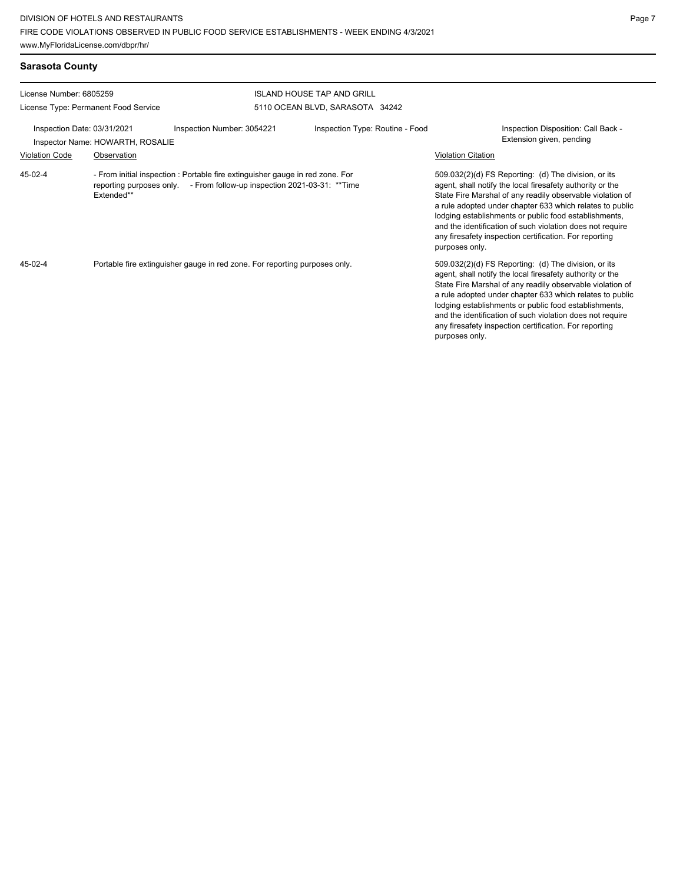| <b>Sarasota County</b>                                          |                            |                                 |                                                                 |  |  |
|-----------------------------------------------------------------|----------------------------|---------------------------------|-----------------------------------------------------------------|--|--|
| License Number: 6805259<br><b>ISLAND HOUSE TAP AND GRILL</b>    |                            |                                 |                                                                 |  |  |
| License Type: Permanent Food Service                            |                            | 5110 OCEAN BLVD, SARASOTA 34242 |                                                                 |  |  |
| Inspection Date: 03/31/2021<br>Inspector Name: HOWARTH, ROSALIE | Inspection Number: 3054221 | Inspection Type: Routine - Food | Inspection Disposition: Call Back -<br>Extension given, pending |  |  |

- From initial inspection : Portable fire extinguisher gauge in red zone. For reporting purposes only. - From follow-up inspection 2021-03-31: \*\*Time Extended\*\* 45-02-4

Violation Code Observation Violation Citation

509.032(2)(d) FS Reporting: (d) The division, or its agent, shall notify the local firesafety authority or the State Fire Marshal of any readily observable violation of a rule adopted under chapter 633 which relates to public lodging establishments or public food establishments, and the identification of such violation does not require any firesafety inspection certification. For reporting purposes only.

Portable fire extinguisher gauge in red zone. For reporting purposes only. The state that the state of the division, or its state of the division, or its 45-02-4

agent, shall notify the local firesafety authority or the State Fire Marshal of any readily observable violation of a rule adopted under chapter 633 which relates to public lodging establishments or public food establishments, and the identification of such violation does not require any firesafety inspection certification. For reporting purposes only.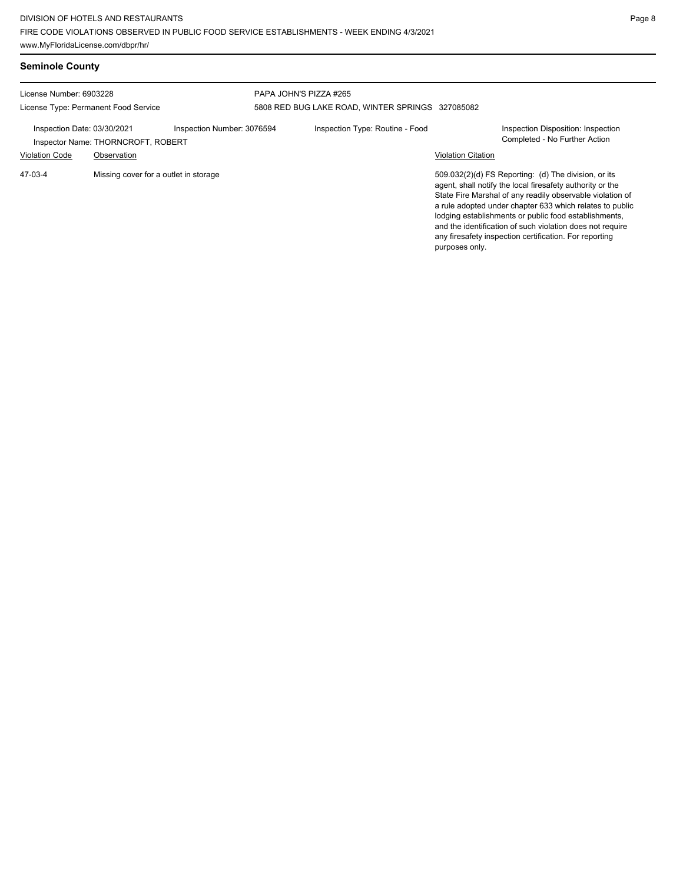| License Number: 6903228<br>License Type: Permanent Food Service |                                                   |                                       | PAPA JOHN'S PIZZA #265 | 5808 RED BUG LAKE ROAD, WINTER SPRINGS 327085082 |                                                                                                                                                                                                                                                                                                                                                                                                                                              |                                                                     |
|-----------------------------------------------------------------|---------------------------------------------------|---------------------------------------|------------------------|--------------------------------------------------|----------------------------------------------------------------------------------------------------------------------------------------------------------------------------------------------------------------------------------------------------------------------------------------------------------------------------------------------------------------------------------------------------------------------------------------------|---------------------------------------------------------------------|
| Inspection Date: 03/30/2021<br><b>Violation Code</b>            | Inspector Name: THORNCROFT, ROBERT<br>Observation | Inspection Number: 3076594            |                        | Inspection Type: Routine - Food                  | <b>Violation Citation</b>                                                                                                                                                                                                                                                                                                                                                                                                                    | Inspection Disposition: Inspection<br>Completed - No Further Action |
| 47-03-4                                                         |                                                   | Missing cover for a outlet in storage |                        |                                                  | 509.032(2)(d) FS Reporting: (d) The division, or its<br>agent, shall notify the local firesafety authority or the<br>State Fire Marshal of any readily observable violation of<br>a rule adopted under chapter 633 which relates to public<br>lodging establishments or public food establishments,<br>and the identification of such violation does not require<br>any firesafety inspection certification. For reporting<br>purposes only. |                                                                     |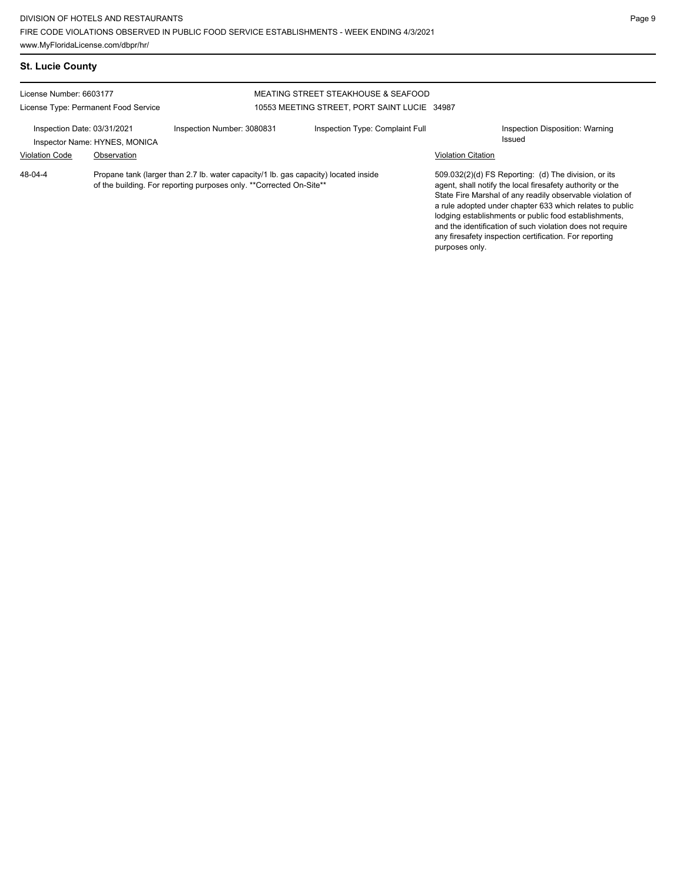Propane tank (larger than 2.7 lb. water capacity/1 lb. gas capacity) located inside

| <b>St. Lucie County</b>              |                            |                                              |                                 |
|--------------------------------------|----------------------------|----------------------------------------------|---------------------------------|
| License Number: 6603177              |                            | MEATING STREET STEAKHOUSE & SEAFOOD          |                                 |
| License Type: Permanent Food Service |                            | 10553 MEETING STREET, PORT SAINT LUCIE 34987 |                                 |
| Inspection Date: 03/31/2021          | Inspection Number: 3080831 | Inspection Type: Complaint Full              | Inspection Disposition: Warning |

of the building. For reporting purposes only. \*\*Corrected On-Site\*\*

48-04-4

Issued Inspector Name: HYNES, MONICA

## Violation Code Observation Violation Citation

509.032(2)(d) FS Reporting: (d) The division, or its agent, shall notify the local firesafety authority or the State Fire Marshal of any readily observable violation of a rule adopted under chapter 633 which relates to public lodging establishments or public food establishments, and the identification of such violation does not require any firesafety inspection certification. For reporting purposes only.